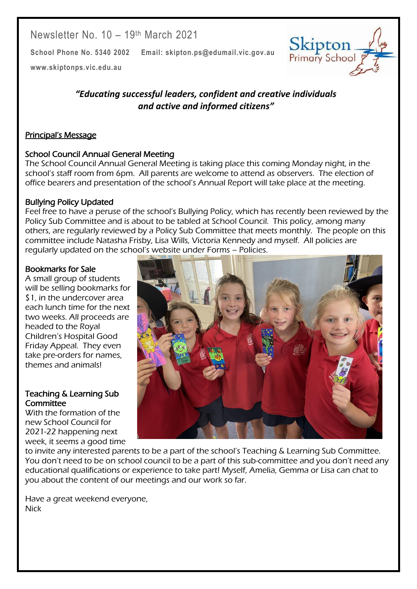Newsletter No. 10 - 19<sup>th</sup> March 2021

**School Phone No. 5340 2002 Email: skipton.ps@edumail.vic.gov.au**

Skipton Primary School

Centacare South West

**[www.skiptonps.vic.edu.au](http://www.skiptonps.vic.edu.au/)**

*"Educating successful leaders, confident and creative individuals and active and informed citizens"*

### Principal's Message

### School Council Annual General Meeting

The School Council Annual General Meeting is taking place this coming Monday night, in the school's staff room from 6pm. All parents are welcome to attend as observers. The election of office bearers and presentation of the school's Annual Report will take place at the meeting.

### Bullying Policy Updated

Feel free to have a peruse of the school's Bullying Policy, which has recently been reviewed by the Policy Sub Committee and is about to be tabled at School Council. This policy, among many others, are regularly reviewed by a Policy Sub Committee that meets monthly. The people on this committee include Natasha Frisby, Lisa Wills, Victoria Kennedy and myself. All policies are regularly updated on the school's website under Forms – Policies.

#### Bookmarks for Sale

A small group of students will be selling bookmarks for \$1, in the undercover area each lunch time for the next two weeks. All proceeds are headed to the Royal Children's Hospital Good Friday Appeal. They even take pre-orders for names, themes and animals!

#### Teaching & Learning Sub **Committee**

With the formation of the new School Council for 2021-22 happening next week, it seems a good time



to invite any interested parents to be a part of the school's Teaching & Learning Sub Committee. You don't need to be on school council to be a part of this sub-committee and you don't need any educational qualifications or experience to take part! Myself, Amelia, Gemma or Lisa can chat to you about the content of our meetings and our work so far.

Have a great weekend everyone, **Nick**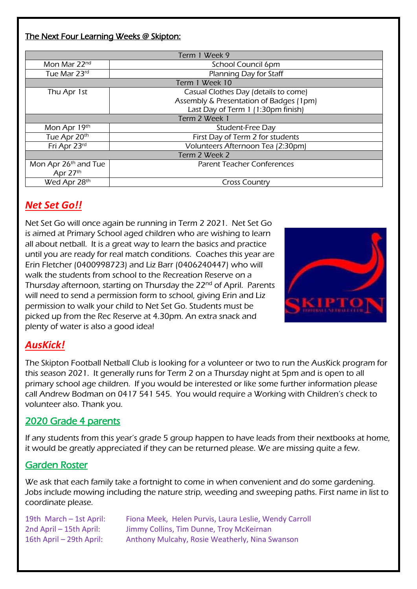### The Next Four Learning Weeks @ Skipton:

| Term 1 Week 9                    |                                         |  |  |  |  |
|----------------------------------|-----------------------------------------|--|--|--|--|
| Mon Mar 22 <sup>nd</sup>         | School Council 6pm                      |  |  |  |  |
| Tue Mar 23rd                     | Planning Day for Staff                  |  |  |  |  |
| Term 1 Week 10                   |                                         |  |  |  |  |
| Thu Apr 1st                      | Casual Clothes Day (details to come)    |  |  |  |  |
|                                  | Assembly & Presentation of Badges (1pm) |  |  |  |  |
|                                  | Last Day of Term 1 (1:30pm finish)      |  |  |  |  |
| Term 2 Week 1                    |                                         |  |  |  |  |
| Mon Apr 19th                     | Student-Free Day                        |  |  |  |  |
| Tue Apr 20th                     | First Day of Term 2 for students        |  |  |  |  |
| Fri Apr 23rd                     | Volunteers Afternoon Tea (2:30pm)       |  |  |  |  |
| Term 2 Week 2                    |                                         |  |  |  |  |
| Mon Apr 26 <sup>th</sup> and Tue | <b>Parent Teacher Conferences</b>       |  |  |  |  |
| Apr 27th                         |                                         |  |  |  |  |
| Wed Apr 28th                     | <b>Cross Country</b>                    |  |  |  |  |

## *Net Set Go!!*

Net Set Go will once again be running in Term 2 2021. Net Set Go is aimed at Primary School aged children who are wishing to learn all about netball. It is a great way to learn the basics and practice until you are ready for real match conditions. Coaches this year are Erin Fletcher (0400998723) and Liz Barr (0406240447) who will walk the students from school to the Recreation Reserve on a Thursday afternoon, starting on Thursday the 22<sup>nd</sup> of April. Parents will need to send a permission form to school, giving Erin and Liz permission to walk your child to Net Set Go. Students must be picked up from the Rec Reserve at 4.30pm. An extra snack and plenty of water is also a good idea!



Centacare South West

# *AusKick!*

The Skipton Football Netball Club is looking for a volunteer or two to run the AusKick program for this season 2021. It generally runs for Term 2 on a Thursday night at 5pm and is open to all primary school age children. If you would be interested or like some further information please call Andrew Bodman on 0417 541 545. You would require a Working with Children's check to volunteer also. Thank you.

### 2020 Grade 4 parents

If any students from this year's grade 5 group happen to have leads from their nextbooks at home, it would be greatly appreciated if they can be returned please. We are missing quite a few.

### Garden Roster

We ask that each family take a fortnight to come in when convenient and do some gardening. Jobs include mowing including the nature strip, weeding and sweeping paths. First name in list to coordinate please.

19th March – 1st April: Fiona Meek, Helen Purvis, Laura Leslie, Wendy Carroll 2nd April – 15th April: Jimmy Collins, Tim Dunne, Troy McKeirnan 16th April – 29th April: Anthony Mulcahy, Rosie Weatherly, Nina Swanson